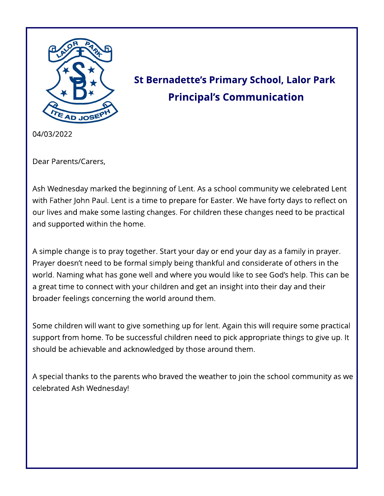

# St Bernadette's Primary School, Lalor Park **Principal's Communication**

04/03/2022

Dear Parents/Carers,

Ash Wednesday marked the beginning of Lent. As a school community we celebrated Lent with Father John Paul. Lent is a time to prepare for Easter. We have forty days to reflect on our lives and make some lasting changes. For children these changes need to be practical and supported within the home.

A simple change is to pray together. Start your day or end your day as a family in prayer. Prayer doesn't need to be formal simply being thankful and considerate of others in the world. Naming what has gone well and where you would like to see God's help. This can be a great time to connect with your children and get an insight into their day and their broader feelings concerning the world around them.

Some children will want to give something up for lent. Again this will require some practical support from home. To be successful children need to pick appropriate things to give up. It should be achievable and acknowledged by those around them.

A special thanks to the parents who braved the weather to join the school community as we celebrated Ash Wednesday!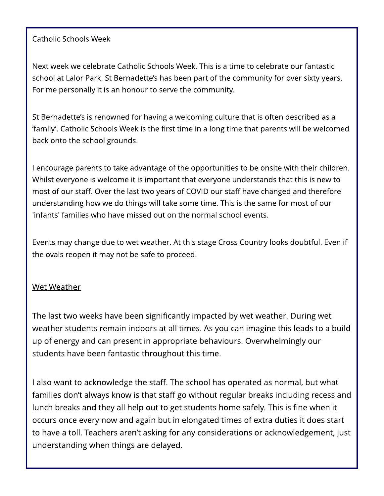#### Catholic Schools Week

Next week we celebrate Catholic Schools Week. This is a time to celebrate our fantastic school at Lalor Park. St Bernadette's has been part of the community for over sixty years. For me personally it is an honour to serve the community.

St Bernadette's is renowned for having a welcoming culture that is often described as a ?family?. Catholic Schools Week is the first time in a long time that parents will be welcomed back onto the school grounds.

I encourage parents to take advantage of the opportunities to be onsite with their children. Whilst everyone is welcome it is important that everyone understands that this is new to most of our staff. Over the last two years of COVID our staff have changed and therefore understanding how we do things will take some time. This is the same for most of our 'infants' families who have missed out on the normal school events.

Events may change due to wet weather. At this stage Cross Country looks doubtful. Even if the ovals reopen it may not be safe to proceed.

#### Wet Weather

The last two weeks have been significantly impacted by wet weather. During wet weather students remain indoors at all times. As you can imagine this leads to a build up of energy and can present in appropriate behaviours. Overwhelmingly our students have been fantastic throughout this time.

I also want to acknowledge the staff. The school has operated as normal, but what families don't always know is that staff go without regular breaks including recess and lunch breaks and they all help out to get students home safely. This is fine when it occurs once every now and again but in elongated times of extra duties it does start to have a toll. Teachers aren't asking for any considerations or acknowledgement, just understanding when things are delayed.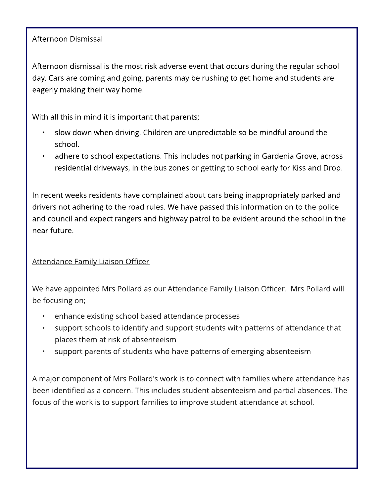#### Afternoon Dismissal

Afternoon dismissal is the most risk adverse event that occurs during the regular school day. Cars are coming and going, parents may be rushing to get home and students are eagerly making their way home.

With all this in mind it is important that parents;

- slow down when driving. Children are unpredictable so be mindful around the school.
- adhere to school expectations. This includes not parking in Gardenia Grove, across residential driveways, in the bus zones or getting to school early for Kiss and Drop.

In recent weeks residents have complained about cars being inappropriately parked and drivers not adhering to the road rules. We have passed this information on to the police and council and expect rangers and highway patrol to be evident around the school in the near future.

Attendance Family Liaison Officer

We have appointed Mrs Pollard as our Attendance Family Liaison Officer. Mrs Pollard will be focusing on;

- enhance existing school based attendance processes
- support schools to identify and support students with patterns of attendance that places them at risk of absenteeism
- support parents of students who have patterns of emerging absenteeism

A major component of Mrs Pollard's work is to connect with families where attendance has been identified as a concern. This includes student absenteeism and partial absences. The focus of the work is to support families to improve student attendance at school.